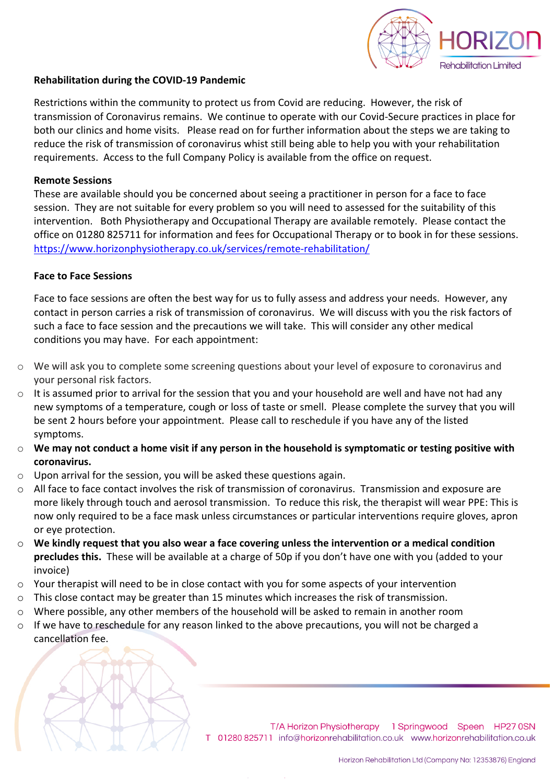

## **Rehabilitation during the COVID-19 Pandemic**

Restrictions within the community to protect us from Covid are reducing. However, the risk of transmission of Coronavirus remains. We continue to operate with our Covid-Secure practices in place for both our clinics and home visits. Please read on for further information about the steps we are taking to reduce the risk of transmission of coronavirus whist still being able to help you with your rehabilitation requirements. Access to the full Company Policy is available from the office on request.

# **Remote Sessions**

These are available should you be concerned about seeing a practitioner in person for a face to face session. They are not suitable for every problem so you will need to assessed for the suitability of this intervention. Both Physiotherapy and Occupational Therapy are available remotely. Please contact the office on 01280 825711 for information and fees for Occupational Therapy or to book in for these sessions. https://www.horizonphysiotherapy.co.uk/services/remote-rehabilitation/

# **Face to Face Sessions**

Face to face sessions are often the best way for us to fully assess and address your needs. However, any contact in person carries a risk of transmission of coronavirus. We will discuss with you the risk factors of such a face to face session and the precautions we will take. This will consider any other medical conditions you may have. For each appointment:

- o We will ask you to complete some screening questions about your level of exposure to coronavirus and your personal risk factors.
- $\circ$  It is assumed prior to arrival for the session that you and your household are well and have not had any new symptoms of a temperature, cough or loss of taste or smell. Please complete the survey that you will be sent 2 hours before your appointment. Please call to reschedule if you have any of the listed symptoms.
- o **We may not conduct a home visit if any person in the household is symptomatic or testing positive with coronavirus.**
- o Upon arrival for the session, you will be asked these questions again.
- o All face to face contact involves the risk of transmission of coronavirus. Transmission and exposure are more likely through touch and aerosol transmission. To reduce this risk, the therapist will wear PPE: This is now only required to be a face mask unless circumstances or particular interventions require gloves, apron or eye protection.
- o **We kindly request that you also wear a face covering unless the intervention or a medical condition precludes this.** These will be available at a charge of 50p if you don't have one with you (added to your invoice)
- $\circ$  Your therapist will need to be in close contact with you for some aspects of your intervention
- $\circ$  This close contact may be greater than 15 minutes which increases the risk of transmission.
- $\circ$  Where possible, any other members of the household will be asked to remain in another room
- o If we have to reschedule for any reason linked to the above precautions, you will not be charged a cancellation fee.

T/A Horizon Physiotherapy 1 Springwood Speen HP27 0SN T 01280 825711 info@horizonrehabilitation.co.uk www.horizonrehabilitation.co.uk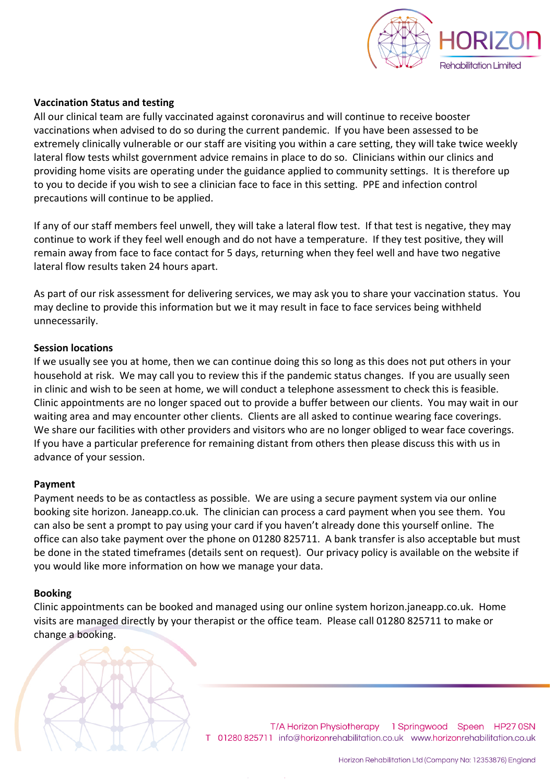

## **Vaccination Status and testing**

All our clinical team are fully vaccinated against coronavirus and will continue to receive booster vaccinations when advised to do so during the current pandemic. If you have been assessed to be extremely clinically vulnerable or our staff are visiting you within a care setting, they will take twice weekly lateral flow tests whilst government advice remains in place to do so. Clinicians within our clinics and providing home visits are operating under the guidance applied to community settings. It is therefore up to you to decide if you wish to see a clinician face to face in this setting. PPE and infection control precautions will continue to be applied.

If any of our staff members feel unwell, they will take a lateral flow test. If that test is negative, they may continue to work if they feel well enough and do not have a temperature. If they test positive, they will remain away from face to face contact for 5 days, returning when they feel well and have two negative lateral flow results taken 24 hours apart.

As part of our risk assessment for delivering services, we may ask you to share your vaccination status. You may decline to provide this information but we it may result in face to face services being withheld unnecessarily.

### **Session locations**

If we usually see you at home, then we can continue doing this so long as this does not put others in your household at risk. We may call you to review this if the pandemic status changes. If you are usually seen in clinic and wish to be seen at home, we will conduct a telephone assessment to check this is feasible. Clinic appointments are no longer spaced out to provide a buffer between our clients. You may wait in our waiting area and may encounter other clients. Clients are all asked to continue wearing face coverings. We share our facilities with other providers and visitors who are no longer obliged to wear face coverings. If you have a particular preference for remaining distant from others then please discuss this with us in advance of your session.

### **Payment**

Payment needs to be as contactless as possible. We are using a secure payment system via our online booking site horizon. Janeapp.co.uk. The clinician can process a card payment when you see them. You can also be sent a prompt to pay using your card if you haven't already done this yourself online. The office can also take payment over the phone on 01280 825711. A bank transfer is also acceptable but must be done in the stated timeframes (details sent on request). Our privacy policy is available on the website if you would like more information on how we manage your data.

### **Booking**

Clinic appointments can be booked and managed using our online system horizon.janeapp.co.uk. Home visits are managed directly by your therapist or the office team. Please call 01280 825711 to make or change a booking.



T/A Horizon Physiotherapy 1 Springwood Speen HP27 0SN T 01280 825711 info@horizonrehabilitation.co.uk www.horizonrehabilitation.co.uk